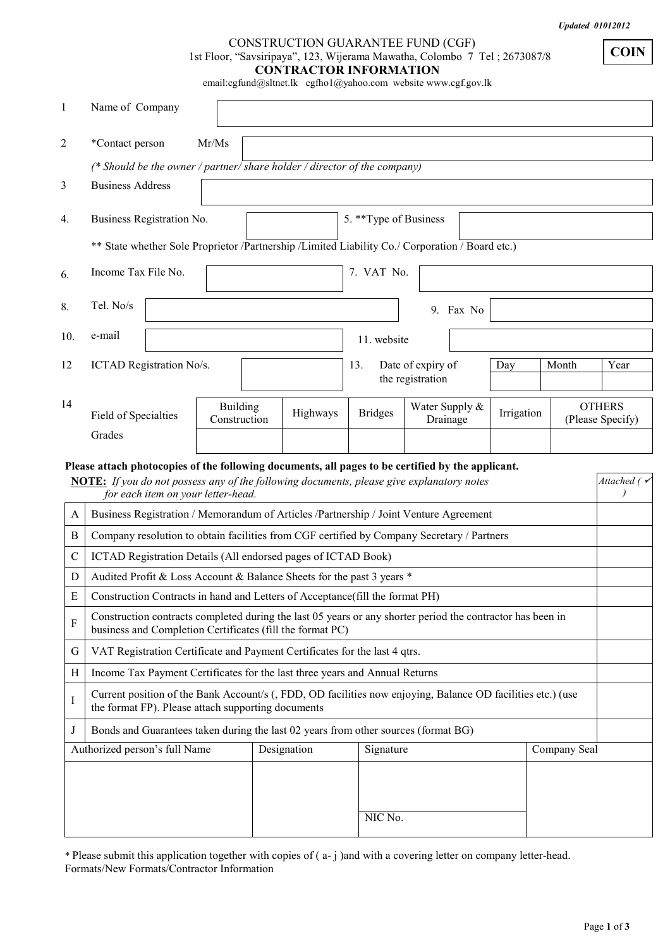*Updated 01012012* 

**COIN**

## CONSTRUCTION GUARANTEE FUND (CGF) 1st Floor, "Savsiripaya", 123, Wijerama Mawatha, Colombo 7 Tel ; 2673087/8 **CONTRACTOR INFORMATION**

email:cgfund@sltnet.lk cgfho1@yahoo.com website www.cgf.gov.lk

| 1              | Name of Company                                    |                                    |                                                                                                                                                                         |                                                                                                   |                   |                            |            |              |                                   |
|----------------|----------------------------------------------------|------------------------------------|-------------------------------------------------------------------------------------------------------------------------------------------------------------------------|---------------------------------------------------------------------------------------------------|-------------------|----------------------------|------------|--------------|-----------------------------------|
| $\overline{2}$ | *Contact person                                    | Mr/Ms                              |                                                                                                                                                                         |                                                                                                   |                   |                            |            |              |                                   |
|                |                                                    |                                    | (* Should be the owner / partner/ share holder / director of the company)                                                                                               |                                                                                                   |                   |                            |            |              |                                   |
| 3              | <b>Business Address</b>                            |                                    |                                                                                                                                                                         |                                                                                                   |                   |                            |            |              |                                   |
| 4.             | Business Registration No.                          |                                    |                                                                                                                                                                         | 5. **Type of Business                                                                             |                   |                            |            |              |                                   |
|                |                                                    |                                    |                                                                                                                                                                         |                                                                                                   |                   |                            |            |              |                                   |
|                |                                                    |                                    | ** State whether Sole Proprietor / Partnership / Limited Liability Co./ Corporation / Board etc.)                                                                       |                                                                                                   |                   |                            |            |              |                                   |
| 6.             | Income Tax File No.                                |                                    |                                                                                                                                                                         | 7. VAT No.                                                                                        |                   |                            |            |              |                                   |
| 8.             | Tel. No/s                                          |                                    |                                                                                                                                                                         |                                                                                                   |                   | 9. Fax No                  |            |              |                                   |
| 10.            | e-mail                                             |                                    |                                                                                                                                                                         | 11. website                                                                                       |                   |                            |            |              |                                   |
| 12             | ICTAD Registration No/s.                           |                                    |                                                                                                                                                                         | 13.                                                                                               | Date of expiry of |                            | Day        | Month        | Year                              |
|                |                                                    |                                    |                                                                                                                                                                         |                                                                                                   | the registration  |                            |            |              |                                   |
| 14             | Field of Specialties                               | <b>Building</b><br>Construction    | Highways                                                                                                                                                                | <b>Bridges</b>                                                                                    |                   | Water Supply &<br>Drainage | Irrigation |              | <b>OTHERS</b><br>(Please Specify) |
|                | Grades                                             |                                    |                                                                                                                                                                         |                                                                                                   |                   |                            |            |              |                                   |
|                |                                                    |                                    |                                                                                                                                                                         |                                                                                                   |                   |                            |            |              |                                   |
|                |                                                    |                                    |                                                                                                                                                                         |                                                                                                   |                   |                            |            |              |                                   |
|                |                                                    | for each item on your letter-head. | <b>NOTE:</b> If you do not possess any of the following documents, please give explanatory notes                                                                        | Please attach photocopies of the following documents, all pages to be certified by the applicant. |                   |                            |            |              | Attached ( $\checkmark$           |
| A              |                                                    |                                    | Business Registration / Memorandum of Articles /Partnership / Joint Venture Agreement                                                                                   |                                                                                                   |                   |                            |            |              |                                   |
| B              |                                                    |                                    | Company resolution to obtain facilities from CGF certified by Company Secretary / Partners                                                                              |                                                                                                   |                   |                            |            |              |                                   |
| $\mathbf C$    |                                                    |                                    | ICTAD Registration Details (All endorsed pages of ICTAD Book)                                                                                                           |                                                                                                   |                   |                            |            |              |                                   |
| D              |                                                    |                                    | Audited Profit & Loss Account & Balance Sheets for the past 3 years *                                                                                                   |                                                                                                   |                   |                            |            |              |                                   |
| E              |                                                    |                                    | Construction Contracts in hand and Letters of Acceptance(fill the format PH)                                                                                            |                                                                                                   |                   |                            |            |              |                                   |
| ${\bf F}$      |                                                    |                                    | Construction contracts completed during the last 05 years or any shorter period the contractor has been in<br>business and Completion Certificates (fill the format PC) |                                                                                                   |                   |                            |            |              |                                   |
| G              |                                                    |                                    | VAT Registration Certificate and Payment Certificates for the last 4 qtrs.                                                                                              |                                                                                                   |                   |                            |            |              |                                   |
| H              |                                                    |                                    | Income Tax Payment Certificates for the last three years and Annual Returns                                                                                             |                                                                                                   |                   |                            |            |              |                                   |
| $\bf I$        | the format FP). Please attach supporting documents |                                    | Current position of the Bank Account/s (, FDD, OD facilities now enjoying, Balance OD facilities etc.) (use                                                             |                                                                                                   |                   |                            |            |              |                                   |
| J              |                                                    |                                    | Bonds and Guarantees taken during the last 02 years from other sources (format BG)                                                                                      |                                                                                                   |                   |                            |            |              |                                   |
|                | Authorized person's full Name                      |                                    | Designation                                                                                                                                                             | Signature                                                                                         |                   |                            |            | Company Seal |                                   |
|                |                                                    |                                    |                                                                                                                                                                         |                                                                                                   |                   |                            |            |              |                                   |
|                |                                                    |                                    |                                                                                                                                                                         |                                                                                                   |                   |                            |            |              |                                   |

\* Please submit this application together with copies of ( a- j )and with a covering letter on company letter-head. Formats/New Formats/Contractor Information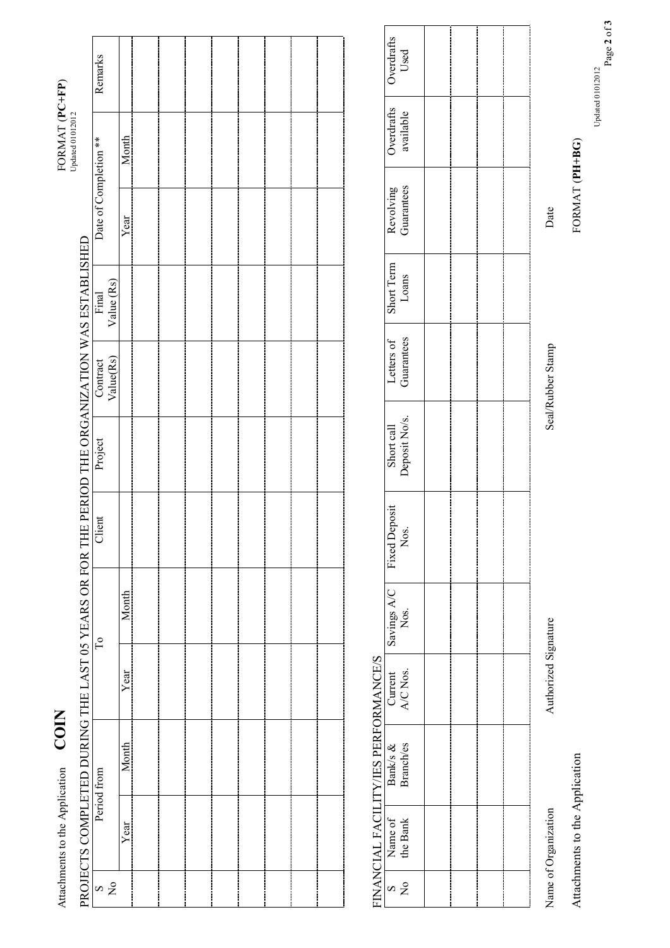|               | Attachments to the Application | <b>COIN</b>                          |                      |                     |                                                                                                |                             |                          |                     |                         | FORMAT (PC+FP)<br>Updated 01012012 |                    |
|---------------|--------------------------------|--------------------------------------|----------------------|---------------------|------------------------------------------------------------------------------------------------|-----------------------------|--------------------------|---------------------|-------------------------|------------------------------------|--------------------|
|               |                                |                                      |                      |                     | PROJECTS COMPLETED DURING THE LAST 05 YEARS OR FOR THE PERIOD THE ORGANIZATION WAS ESTABLISHED |                             |                          |                     |                         |                                    |                    |
| $\frac{8}{2}$ |                                | Period from                          |                      | $\Gamma$            | Client                                                                                         | Project                     | Value(Rs)<br>Contract    | Value (Rs)<br>Final | Date of Completion **   |                                    | Remarks            |
|               | Year                           | Month                                | Year                 | Month               |                                                                                                |                             |                          |                     | Year                    | Month                              |                    |
|               |                                |                                      |                      |                     |                                                                                                |                             |                          |                     |                         |                                    |                    |
|               |                                |                                      |                      |                     |                                                                                                |                             |                          |                     |                         |                                    |                    |
|               |                                |                                      |                      |                     |                                                                                                |                             |                          |                     |                         |                                    |                    |
|               |                                |                                      |                      |                     |                                                                                                |                             |                          |                     |                         |                                    |                    |
|               |                                |                                      |                      |                     |                                                                                                |                             |                          |                     |                         |                                    |                    |
|               |                                |                                      |                      |                     |                                                                                                |                             |                          |                     |                         |                                    |                    |
|               |                                |                                      |                      |                     |                                                                                                |                             |                          |                     |                         |                                    |                    |
|               |                                |                                      |                      |                     |                                                                                                |                             |                          |                     |                         |                                    |                    |
|               |                                |                                      |                      |                     |                                                                                                |                             |                          |                     |                         |                                    |                    |
|               |                                | FINANCIAL FACILITY/IES PERFORMANCE/S |                      |                     |                                                                                                |                             |                          |                     |                         |                                    |                    |
| $\frac{1}{2}$ | the Bank<br>Name of            | Branch/es<br>Bank/s &                | A/C Nos.<br>Current  | Savings A/C<br>Nos. | <b>Fixed Deposit</b><br>Nos.                                                                   | Deposit No/s.<br>Short call | Guarantees<br>Letters of | Short Term<br>Loans | Guarantees<br>Revolving | Overdrafts<br>available            | Overdrafts<br>Used |
|               |                                |                                      |                      |                     |                                                                                                |                             |                          |                     |                         |                                    |                    |
|               |                                |                                      |                      |                     |                                                                                                |                             |                          |                     |                         |                                    |                    |
|               |                                |                                      |                      |                     |                                                                                                |                             |                          |                     |                         |                                    |                    |
|               |                                |                                      |                      |                     |                                                                                                |                             |                          |                     |                         |                                    |                    |
|               | Name of Organization           |                                      | Authorized Signature |                     |                                                                                                |                             | Seal/Rubber Stamp        |                     | Date                    |                                    |                    |

Attachments to the Application FORMAT (**PH+BG**) Attachments to the Application

FORMAT (PH+BG)

Page **2** of **3**  $_{\rm D}$ dated 01012012  $_{\rm O}$